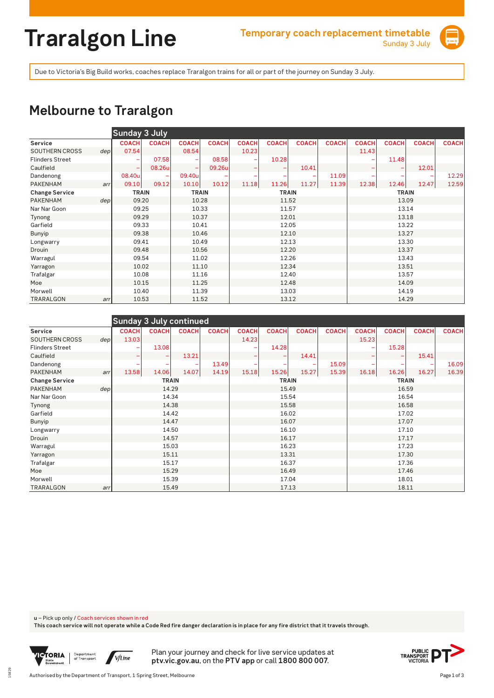# **Traralgon Line Temporary coach replacement timetable**



Due to Victoria's Big Build works, coaches replace Traralgon trains for all or part of the journey on Sunday 3 July.

### **Melbourne to Traralgon**

|                        |                  | <b>Sunday 3 July</b> |              |                          |              |                          |              |              |              |              |              |              |              |  |
|------------------------|------------------|----------------------|--------------|--------------------------|--------------|--------------------------|--------------|--------------|--------------|--------------|--------------|--------------|--------------|--|
| Service                |                  | <b>COACH</b>         | <b>COACH</b> | <b>COACH</b>             | <b>COACH</b> | <b>COACH</b>             | <b>COACH</b> | <b>COACH</b> | <b>COACH</b> | <b>COACH</b> | <b>COACH</b> | <b>COACH</b> | <b>COACH</b> |  |
| <b>SOUTHERN CROSS</b>  | dep <sub>l</sub> | 07.54                |              | 08.54                    |              | 10.23                    |              |              |              | 11.43        |              |              |              |  |
| <b>Flinders Street</b> |                  | ۰                    | 07.58        |                          | 08.58        |                          | 10.28        |              |              |              | 11.48        |              |              |  |
| Caulfield              |                  | ۰                    | 08.26u       | $\overline{\phantom{0}}$ | 09.26u       | $\overline{\phantom{0}}$ |              | 10.41        |              |              |              | 12.01        |              |  |
| Dandenong              |                  | 08.40u               |              | 09.40u                   |              |                          |              |              | 11.09        |              | -            |              | 12.29        |  |
| <b>PAKENHAM</b>        | arr              | 09.10                | 09.12        | 10.10                    | 10.12        | 11.18                    | 11.26        | 11.27        | 11.39        | 12.38        | 12.46        | 12.47        | 12.59        |  |
| <b>Change Service</b>  |                  | <b>TRAIN</b>         |              | <b>TRAIN</b>             |              |                          | <b>TRAIN</b> |              |              |              | <b>TRAIN</b> |              |              |  |
| PAKENHAM               | dep              | 09.20                |              | 10.28                    |              |                          | 11.52        |              |              | 13.09        |              |              |              |  |
| Nar Nar Goon           |                  | 09.25                |              | 10.33                    |              | 11.57                    |              |              |              | 13.14        |              |              |              |  |
| Tynong                 |                  | 09.29                |              | 10.37                    |              |                          | 12.01        |              |              | 13.18        |              |              |              |  |
| Garfield               |                  | 09.33                |              | 10.41                    |              |                          | 12.05        |              |              |              | 13.22        |              |              |  |
| Bunyip                 |                  | 09.38                |              | 10.46                    |              |                          | 12.10        |              |              |              | 13.27        |              |              |  |
| Longwarry              |                  | 09.41                |              | 10.49                    |              |                          | 12.13        |              |              |              | 13.30        |              |              |  |
| Drouin                 |                  | 09.48                |              | 10.56                    |              |                          | 12.20        |              |              |              | 13.37        |              |              |  |
| Warragul               |                  | 09.54                |              | 11.02                    |              |                          | 12.26        |              |              |              | 13.43        |              |              |  |
| Yarragon               |                  | 10.02                |              | 11.10                    |              |                          | 12.34        |              |              |              | 13.51        |              |              |  |
| Trafalgar              |                  | 10.08                |              | 11.16                    |              | 12.40                    |              |              |              | 13.57        |              |              |              |  |
| Moe                    |                  | 10.15                |              | 11.25                    |              | 12.48<br>14.09           |              |              |              |              |              |              |              |  |
| Morwell                |                  | 10.40                |              | 11.39                    |              |                          | 13.03        |              |              |              | 14.19        |              |              |  |
| TRARALGON              | arr              | 10.53                |              | 11.52                    |              |                          | 13.12        |              |              |              | 14.29        |              |              |  |

|                        |     | <b>Sunday 3 July continued</b> |              |              |              |              |              |              |              |              |              |              |              |
|------------------------|-----|--------------------------------|--------------|--------------|--------------|--------------|--------------|--------------|--------------|--------------|--------------|--------------|--------------|
| Service                |     | <b>COACH</b>                   | <b>COACH</b> | <b>COACH</b> | <b>COACH</b> | <b>COACH</b> | <b>COACH</b> | <b>COACH</b> | <b>COACH</b> | <b>COACH</b> | <b>COACH</b> | <b>COACH</b> | <b>COACH</b> |
| <b>SOUTHERN CROSS</b>  | dep | 13.03                          |              |              |              | 14.23        |              |              |              | 15.23        |              |              |              |
| <b>Flinders Street</b> |     |                                | 13.08        |              |              |              | 14.28        |              |              |              | 15.28        |              |              |
| Caulfield              |     | ۰                              |              | 13.21        |              |              |              | 14.41        |              | -            |              | 15.41        |              |
| Dandenong              |     |                                |              |              | 13.49        |              |              |              | 15.09        |              | -            |              | 16.09        |
| <b>PAKENHAM</b>        | arr | 13.58                          | 14.06        | 14.07        | 14.19        | 15.18        | 15.26        | 15.27        | 15.39        | 16.18        | 16.26        | 16.27        | 16.39        |
| <b>Change Service</b>  |     |                                | <b>TRAIN</b> |              |              |              | <b>TRAIN</b> |              |              | <b>TRAIN</b> |              |              |              |
| <b>PAKENHAM</b>        | dep |                                | 14.29        |              |              |              | 15.49        |              |              | 16.59        |              |              |              |
| Nar Nar Goon           |     |                                | 14.34        |              |              |              | 15.54        |              |              | 16.54        |              |              |              |
| Tynong                 |     |                                | 14.38        |              |              |              | 15.58        |              |              | 16.58        |              |              |              |
| Garfield               |     |                                | 14.42        |              |              |              | 16.02        |              |              | 17.02        |              |              |              |
| <b>Bunyip</b>          |     |                                | 14.47        |              |              |              | 16.07        |              |              | 17.07        |              |              |              |
| Longwarry              |     |                                | 14.50        |              |              | 16.10        |              |              |              | 17.10        |              |              |              |
| Drouin                 |     |                                | 14.57        |              |              |              | 16.17        |              |              | 17.17        |              |              |              |
| Warragul               |     |                                | 15.03        |              |              | 16.23        |              |              |              | 17.23        |              |              |              |
| Yarragon               |     |                                | 15.11        |              |              | 13.31        |              |              |              |              | 17.30        |              |              |
| Trafalgar              |     |                                | 15.17        |              |              | 16.37        |              |              |              | 17.36        |              |              |              |
| Moe                    |     |                                | 15.29        |              |              | 16.49        |              |              |              | 17.46        |              |              |              |
| Morwell                |     |                                | 15.39        |              |              |              | 17.04        |              |              | 18.01        |              |              |              |
| TRARALGON              | arr |                                | 15.49        |              |              | 17.13        |              |              |              | 18.11        |              |              |              |

**u** – Pick up only / Coach services shown in red

**This coach service will not operate while a Code Red fire danger declaration is in place for any fire district that it travels through.**



15829

Plan your journey and check for live service updates at **ptv.vic.gov.au**, on the **PTV app** or call **1800 800 007**.

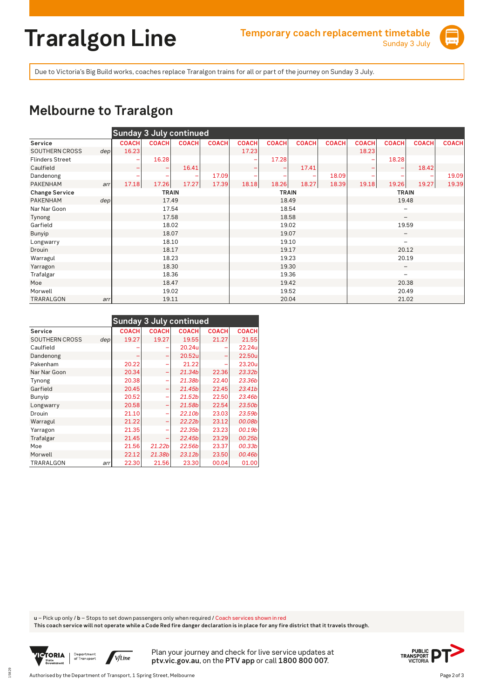# **Traralgon Line Temporary coach replacement timetable**



Due to Victoria's Big Build works, coaches replace Traralgon trains for all or part of the journey on Sunday 3 July.

#### **Melbourne to Traralgon**

|                        |                  | <b>Sunday 3 July continued</b> |              |              |              |              |              |              |              |                          |                          |              |              |
|------------------------|------------------|--------------------------------|--------------|--------------|--------------|--------------|--------------|--------------|--------------|--------------------------|--------------------------|--------------|--------------|
| Service                |                  | <b>COACH</b>                   | <b>COACH</b> | <b>COACH</b> | <b>COACH</b> | <b>COACH</b> | <b>COACH</b> | <b>COACH</b> | <b>COACH</b> | <b>COACH</b>             | <b>COACH</b>             | <b>COACH</b> | <b>COACH</b> |
| <b>SOUTHERN CROSS</b>  | dep <sub>1</sub> | 16.23                          |              |              |              | 17.23        |              |              |              | 18.23                    |                          |              |              |
| <b>Flinders Street</b> |                  |                                | 16.28        |              |              |              | 17.28        |              |              |                          | 18.28                    |              |              |
| Caulfield              |                  | -                              |              | 16.41        |              |              |              | 17.41        |              |                          |                          | 18.42        |              |
| Dandenong              |                  |                                |              |              | 17.09        |              |              |              | 18.09        |                          |                          |              | 19.09        |
| <b>PAKENHAM</b>        | arr              | 17.18                          | 17.26        | 17.27        | 17.39        | 18.18        | 18.26        | 18.27        | 18.39        | 19.18                    | 19.26                    | 19.27        | 19.39        |
| <b>Change Service</b>  |                  |                                | <b>TRAIN</b> |              |              |              | <b>TRAIN</b> |              |              | <b>TRAIN</b>             |                          |              |              |
| PAKENHAM               | dep <sub>l</sub> |                                | 17.49        |              |              | 18.49        |              |              |              | 19.48                    |                          |              |              |
| Nar Nar Goon           |                  |                                | 17.54        |              |              |              | 18.54        |              |              | $\overline{\phantom{0}}$ |                          |              |              |
| Tynong                 |                  |                                | 17.58        |              |              |              | 18.58        |              |              | $\qquad \qquad$          |                          |              |              |
| Garfield               |                  |                                | 18.02        |              |              |              | 19.02        |              |              | 19.59                    |                          |              |              |
| Bunyip                 |                  |                                | 18.07        |              |              |              | 19.07        |              |              | $\qquad \qquad -$        |                          |              |              |
| Longwarry              |                  |                                | 18.10        |              |              |              | 19.10        |              |              |                          | $\overline{\phantom{0}}$ |              |              |
| Drouin                 |                  |                                | 18.17        |              |              |              | 19.17        |              |              |                          | 20.12                    |              |              |
| Warragul               |                  |                                | 18.23        |              |              | 19.23        |              |              |              | 20.19                    |                          |              |              |
| Yarragon               |                  |                                | 18.30        |              |              | 19.30        |              |              |              | $\qquad \qquad -$        |                          |              |              |
| Trafalgar              |                  |                                | 18.36        |              |              | 19.36        |              |              |              | -                        |                          |              |              |
| Moe                    |                  |                                | 18.47        |              |              | 19.42        |              |              |              | 20.38                    |                          |              |              |
| Morwell                |                  |                                | 19.02        |              |              |              | 19.52        |              |              |                          | 20.49                    |              |              |
| TRARALGON              | arr              |                                | 19.11        |              |              |              | 20.04        |              |              |                          | 21.02                    |              |              |

|                       |     | <b>Sunday 3 July continued</b> |                    |                    |              |              |
|-----------------------|-----|--------------------------------|--------------------|--------------------|--------------|--------------|
| Service               |     | <b>COACH</b>                   | <b>COACH</b>       | <b>COACH</b>       | <b>COACH</b> | <b>COACH</b> |
| <b>SOUTHERN CROSS</b> | dep | 19.27                          | 19.27              | 19.55              | 21.27        | 21.55        |
| Caulfield             |     |                                |                    | 20.24u             |              | 22.24u       |
| Dandenong             |     |                                |                    | 20.52u             |              | 22.50u       |
| Pakenham              |     | 20.22                          |                    | 21.22              |              | 23.20u       |
| Nar Nar Goon          |     | 20.34                          |                    | 21.34b             | 22.36        | 23.32b       |
| Tynong                |     | 20.38                          |                    | 21.38b             | 22.40        | 23.36b       |
| Garfield              |     | 20.45                          |                    | 21.45b             | 22.45        | 23.41b       |
| Bunyip                |     | 20.52                          |                    | 21.52 <sub>b</sub> | 22.50        | 23.46b       |
| Longwarry             |     | 20.58                          |                    | 21.58b             | 22.54        | 23.50b       |
| Drouin                |     | 21.10                          |                    | 22.10b             | 23.03        | 23.59b       |
| Warragul              |     | 21.22                          |                    | 22.22 <sub>b</sub> | 23.12        | 00.08b       |
| Yarragon              |     | 21.35                          |                    | 22.35b             | 23.23        | 00.19b       |
| Trafalgar             |     | 21.45                          |                    | 22.45b             | 23.29        | 00.25b       |
| Moe                   |     | 21.56                          | 21.22 <sub>b</sub> | 22.56b             | 23.37        | 00.33b       |
| Morwell               |     | 22.12                          | 21.38b             | 23.12 <sub>b</sub> | 23.50        | 00.46b       |
| TRARALGON             | arr | 22.30                          | 21.56              | 23.30              | 00.04        | 01.00        |

**u** – Pick up only / **b** – Stops to set down passengers only when required / Coach services shown in red

**This coach service will not operate while a Code Red fire danger declaration is in place for any fire district that it travels through.**



15829

Plan your journey and check for live service updates at **ptv.vic.gov.au**, on the **PTV app** or call **1800 800 007**.